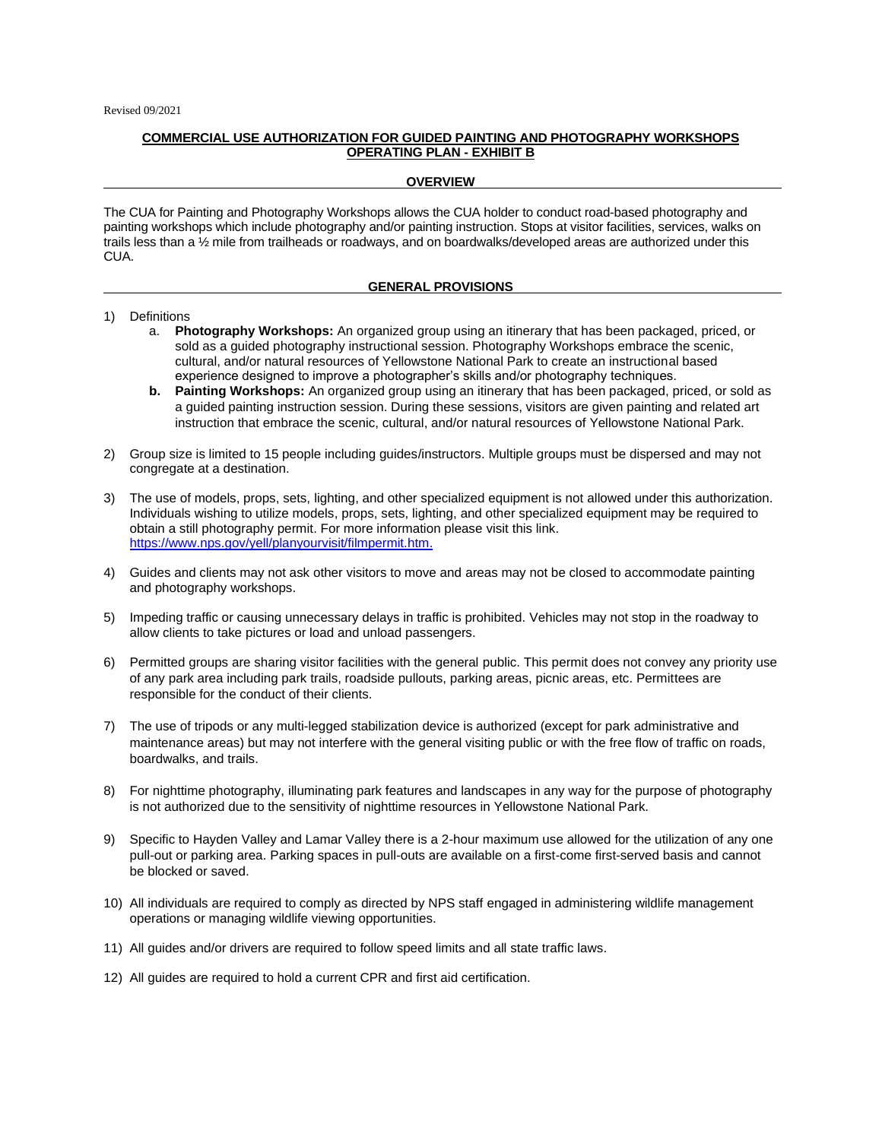## **COMMERCIAL USE AUTHORIZATION FOR GUIDED PAINTING AND PHOTOGRAPHY WORKSHOPS OPERATING PLAN - EXHIBIT B**

## **OVERVIEW**

The CUA for Painting and Photography Workshops allows the CUA holder to conduct road-based photography and painting workshops which include photography and/or painting instruction. Stops at visitor facilities, services, walks on trails less than a 1/2 mile from trailheads or roadways, and on boardwalks/developed areas are authorized under this CUA.

## **GENERAL PROVISIONS**

## 1) Definitions

- a. **Photography Workshops:** An organized group using an itinerary that has been packaged, priced, or sold as a guided photography instructional session. Photography Workshops embrace the scenic, cultural, and/or natural resources of Yellowstone National Park to create an instructional based experience designed to improve a photographer's skills and/or photography techniques.
- **b. Painting Workshops:** An organized group using an itinerary that has been packaged, priced, or sold as a guided painting instruction session. During these sessions, visitors are given painting and related art instruction that embrace the scenic, cultural, and/or natural resources of Yellowstone National Park.
- 2) Group size is limited to 15 people including guides/instructors. Multiple groups must be dispersed and may not congregate at a destination.
- 3) The use of models, props, sets, lighting, and other specialized equipment is not allowed under this authorization. Individuals wishing to utilize models, props, sets, lighting, and other specialized equipment may be required to obtain a still photography permit. For more information please visit this link. [https://www.nps.gov/yell/planyourvisit/filmpermit.htm.](https://www.nps.gov/yell/planyourvisit/filmpermit.htm)
- 4) Guides and clients may not ask other visitors to move and areas may not be closed to accommodate painting and photography workshops.
- 5) Impeding traffic or causing unnecessary delays in traffic is prohibited. Vehicles may not stop in the roadway to allow clients to take pictures or load and unload passengers.
- 6) Permitted groups are sharing visitor facilities with the general public. This permit does not convey any priority use of any park area including park trails, roadside pullouts, parking areas, picnic areas, etc. Permittees are responsible for the conduct of their clients.
- 7) The use of tripods or any multi-legged stabilization device is authorized (except for park administrative and maintenance areas) but may not interfere with the general visiting public or with the free flow of traffic on roads, boardwalks, and trails.
- 8) For nighttime photography, illuminating park features and landscapes in any way for the purpose of photography is not authorized due to the sensitivity of nighttime resources in Yellowstone National Park.
- 9) Specific to Hayden Valley and Lamar Valley there is a 2-hour maximum use allowed for the utilization of any one pull-out or parking area. Parking spaces in pull-outs are available on a first-come first-served basis and cannot be blocked or saved.
- 10) All individuals are required to comply as directed by NPS staff engaged in administering wildlife management operations or managing wildlife viewing opportunities.
- 11) All guides and/or drivers are required to follow speed limits and all state traffic laws.
- 12) All guides are required to hold a current CPR and first aid certification.